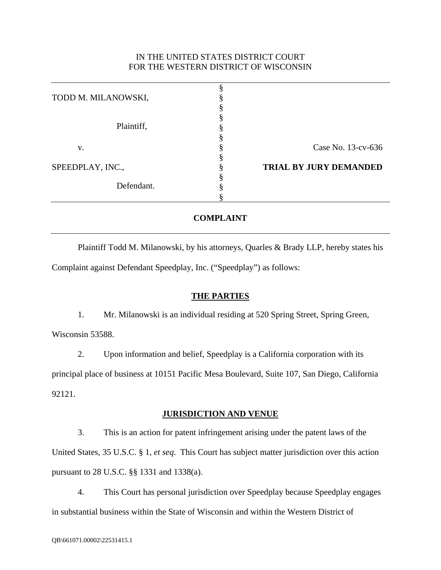# IN THE UNITED STATES DISTRICT COURT FOR THE WESTERN DISTRICT OF WISCONSIN

| TODD M. MILANOWSKI, |                               |
|---------------------|-------------------------------|
|                     |                               |
|                     |                               |
| Plaintiff,          |                               |
|                     |                               |
|                     |                               |
| V.                  | Case No. 13-cv-636            |
|                     |                               |
| SPEEDPLAY, INC.,    | <b>TRIAL BY JURY DEMANDED</b> |
|                     |                               |
| Defendant.          |                               |
|                     |                               |

## **COMPLAINT**

Plaintiff Todd M. Milanowski, by his attorneys, Quarles & Brady LLP, hereby states his Complaint against Defendant Speedplay, Inc. ("Speedplay") as follows:

### **THE PARTIES**

1. Mr. Milanowski is an individual residing at 520 Spring Street, Spring Green, Wisconsin 53588.

2. Upon information and belief, Speedplay is a California corporation with its principal place of business at 10151 Pacific Mesa Boulevard, Suite 107, San Diego, California 92121.

### **JURISDICTION AND VENUE**

3. This is an action for patent infringement arising under the patent laws of the United States, 35 U.S.C. § 1, *et seq*. This Court has subject matter jurisdiction over this action pursuant to 28 U.S.C. §§ 1331 and 1338(a).

4. This Court has personal jurisdiction over Speedplay because Speedplay engages in substantial business within the State of Wisconsin and within the Western District of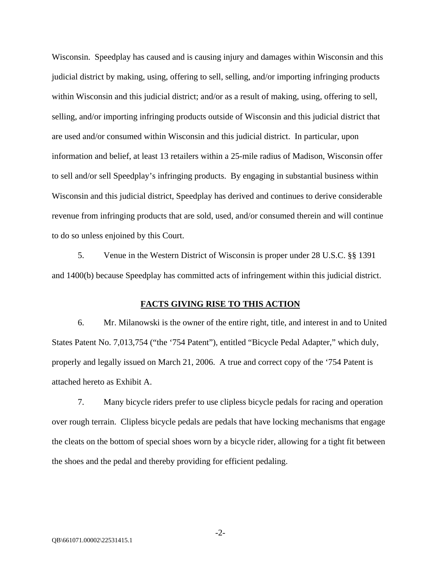Wisconsin. Speedplay has caused and is causing injury and damages within Wisconsin and this judicial district by making, using, offering to sell, selling, and/or importing infringing products within Wisconsin and this judicial district; and/or as a result of making, using, offering to sell, selling, and/or importing infringing products outside of Wisconsin and this judicial district that are used and/or consumed within Wisconsin and this judicial district. In particular, upon information and belief, at least 13 retailers within a 25-mile radius of Madison, Wisconsin offer to sell and/or sell Speedplay's infringing products. By engaging in substantial business within Wisconsin and this judicial district, Speedplay has derived and continues to derive considerable revenue from infringing products that are sold, used, and/or consumed therein and will continue to do so unless enjoined by this Court.

5. Venue in the Western District of Wisconsin is proper under 28 U.S.C. §§ 1391 and 1400(b) because Speedplay has committed acts of infringement within this judicial district.

### **FACTS GIVING RISE TO THIS ACTION**

6. Mr. Milanowski is the owner of the entire right, title, and interest in and to United States Patent No. 7,013,754 ("the '754 Patent"), entitled "Bicycle Pedal Adapter," which duly, properly and legally issued on March 21, 2006. A true and correct copy of the '754 Patent is attached hereto as Exhibit A.

7. Many bicycle riders prefer to use clipless bicycle pedals for racing and operation over rough terrain. Clipless bicycle pedals are pedals that have locking mechanisms that engage the cleats on the bottom of special shoes worn by a bicycle rider, allowing for a tight fit between the shoes and the pedal and thereby providing for efficient pedaling.

-2-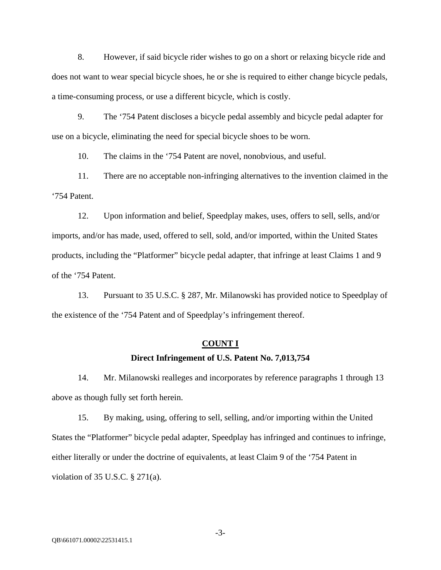8. However, if said bicycle rider wishes to go on a short or relaxing bicycle ride and does not want to wear special bicycle shoes, he or she is required to either change bicycle pedals, a time-consuming process, or use a different bicycle, which is costly.

9. The '754 Patent discloses a bicycle pedal assembly and bicycle pedal adapter for use on a bicycle, eliminating the need for special bicycle shoes to be worn.

10. The claims in the '754 Patent are novel, nonobvious, and useful.

11. There are no acceptable non-infringing alternatives to the invention claimed in the '754 Patent.

12. Upon information and belief, Speedplay makes, uses, offers to sell, sells, and/or imports, and/or has made, used, offered to sell, sold, and/or imported, within the United States products, including the "Platformer" bicycle pedal adapter, that infringe at least Claims 1 and 9 of the '754 Patent.

13. Pursuant to 35 U.S.C. § 287, Mr. Milanowski has provided notice to Speedplay of the existence of the '754 Patent and of Speedplay's infringement thereof.

# **COUNT I Direct Infringement of U.S. Patent No. 7,013,754**

14. Mr. Milanowski realleges and incorporates by reference paragraphs 1 through 13 above as though fully set forth herein.

15. By making, using, offering to sell, selling, and/or importing within the United States the "Platformer" bicycle pedal adapter, Speedplay has infringed and continues to infringe, either literally or under the doctrine of equivalents, at least Claim 9 of the '754 Patent in violation of 35 U.S.C. § 271(a).

-3-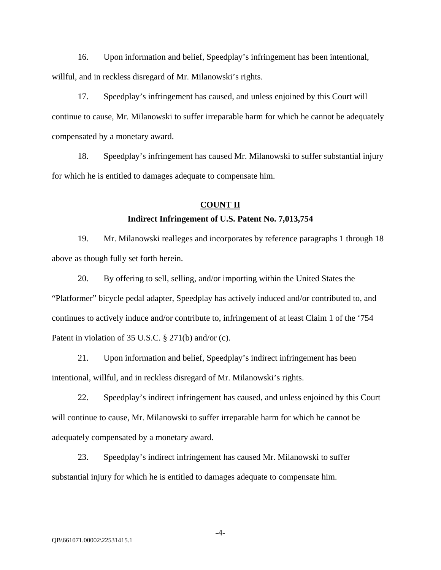16. Upon information and belief, Speedplay's infringement has been intentional, willful, and in reckless disregard of Mr. Milanowski's rights.

17. Speedplay's infringement has caused, and unless enjoined by this Court will continue to cause, Mr. Milanowski to suffer irreparable harm for which he cannot be adequately compensated by a monetary award.

18. Speedplay's infringement has caused Mr. Milanowski to suffer substantial injury for which he is entitled to damages adequate to compensate him.

## **COUNT II**

### **Indirect Infringement of U.S. Patent No. 7,013,754**

19. Mr. Milanowski realleges and incorporates by reference paragraphs 1 through 18 above as though fully set forth herein.

20. By offering to sell, selling, and/or importing within the United States the "Platformer" bicycle pedal adapter, Speedplay has actively induced and/or contributed to, and continues to actively induce and/or contribute to, infringement of at least Claim 1 of the '754 Patent in violation of 35 U.S.C. § 271(b) and/or (c).

21. Upon information and belief, Speedplay's indirect infringement has been intentional, willful, and in reckless disregard of Mr. Milanowski's rights.

22. Speedplay's indirect infringement has caused, and unless enjoined by this Court will continue to cause, Mr. Milanowski to suffer irreparable harm for which he cannot be adequately compensated by a monetary award.

23. Speedplay's indirect infringement has caused Mr. Milanowski to suffer substantial injury for which he is entitled to damages adequate to compensate him.

-4-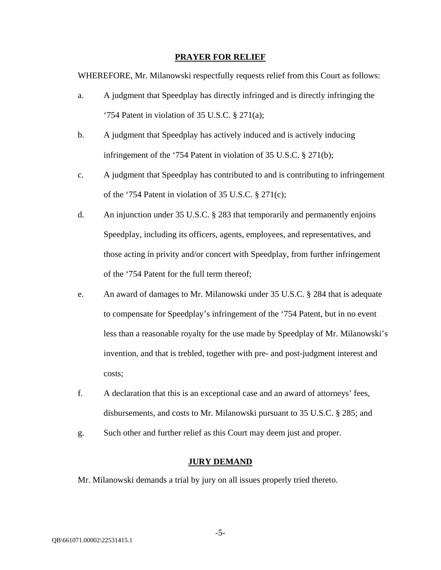### **PRAYER FOR RELIEF**

WHEREFORE, Mr. Milanowski respectfully requests relief from this Court as follows:

- a. A judgment that Speedplay has directly infringed and is directly infringing the '754 Patent in violation of 35 U.S.C.  $\S 271(a)$ ;
- b. A judgment that Speedplay has actively induced and is actively inducing infringement of the '754 Patent in violation of 35 U.S.C. § 271(b);
- c. A judgment that Speedplay has contributed to and is contributing to infringement of the '754 Patent in violation of 35 U.S.C. § 271(c);
- d. An injunction under 35 U.S.C. § 283 that temporarily and permanently enjoins Speedplay, including its officers, agents, employees, and representatives, and those acting in privity and/or concert with Speedplay, from further infringement of the '754 Patent for the full term thereof;
- e. An award of damages to Mr. Milanowski under 35 U.S.C. § 284 that is adequate to compensate for Speedplay's infringement of the '754 Patent, but in no event less than a reasonable royalty for the use made by Speedplay of Mr. Milanowski's invention, and that is trebled, together with pre- and post-judgment interest and costs;
- f. A declaration that this is an exceptional case and an award of attorneys' fees, disbursements, and costs to Mr. Milanowski pursuant to 35 U.S.C. § 285; and
- g. Such other and further relief as this Court may deem just and proper.

# **JURY DEMAND**

Mr. Milanowski demands a trial by jury on all issues properly tried thereto.